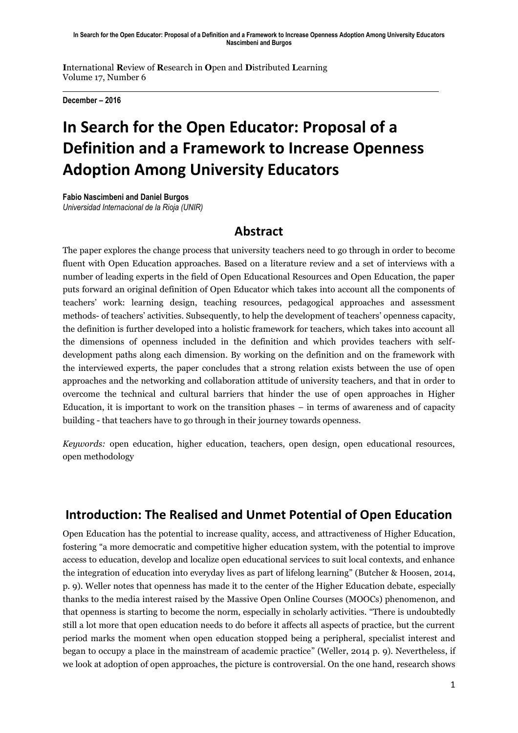**I**nternational **R**eview of **R**esearch in **O**pen and **D**istributed **L**earning Volume 17, Number 6

**December – 2016**

# **In Search for the Open Educator: Proposal of a Definition and a Framework to Increase Openness Adoption Among University Educators**

**Fabio Nascimbeni and Daniel Burgos** *Universidad Internacional de la Rioja (UNIR)*

#### **Abstract**

The paper explores the change process that university teachers need to go through in order to become fluent with Open Education approaches. Based on a literature review and a set of interviews with a number of leading experts in the field of Open Educational Resources and Open Education, the paper puts forward an original definition of Open Educator which takes into account all the components of teachers' work: learning design, teaching resources, pedagogical approaches and assessment methods- of teachers' activities. Subsequently, to help the development of teachers' openness capacity, the definition is further developed into a holistic framework for teachers, which takes into account all the dimensions of openness included in the definition and which provides teachers with selfdevelopment paths along each dimension. By working on the definition and on the framework with the interviewed experts, the paper concludes that a strong relation exists between the use of open approaches and the networking and collaboration attitude of university teachers, and that in order to overcome the technical and cultural barriers that hinder the use of open approaches in Higher Education, it is important to work on the transition phases – in terms of awareness and of capacity building - that teachers have to go through in their journey towards openness.

*Keywords:* open education, higher education, teachers, open design, open educational resources, open methodology

### **Introduction: The Realised and Unmet Potential of Open Education**

Open Education has the potential to increase quality, access, and attractiveness of Higher Education, fostering "a more democratic and competitive higher education system, with the potential to improve access to education, develop and localize open educational services to suit local contexts, and enhance the integration of education into everyday lives as part of lifelong learning" (Butcher & Hoosen, 2014, p. 9). Weller notes that openness has made it to the center of the Higher Education debate, especially thanks to the media interest raised by the Massive Open Online Courses (MOOCs) phenomenon, and that openness is starting to become the norm, especially in scholarly activities. "There is undoubtedly still a lot more that open education needs to do before it affects all aspects of practice, but the current period marks the moment when open education stopped being a peripheral, specialist interest and began to occupy a place in the mainstream of academic practice" (Weller, 2014 p. 9). Nevertheless, if we look at adoption of open approaches, the picture is controversial. On the one hand, research shows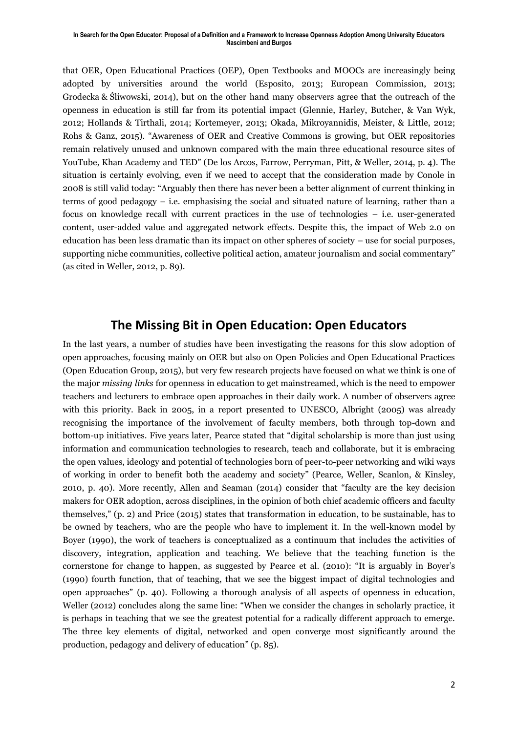#### **In Search for the Open Educator: Proposal of a Definition and a Framework to Increase Openness Adoption Among University Educators Nascimbeni and Burgos**

that OER, Open Educational Practices (OEP), Open Textbooks and MOOCs are increasingly being adopted by universities around the world (Esposito, 2013; European Commission, 2013; Grodecka & Śliwowski, 2014), but on the other hand many observers agree that the outreach of the openness in education is still far from its potential impact (Glennie, Harley, Butcher, & Van Wyk, 2012; Hollands & Tirthali, 2014; Kortemeyer, 2013; Okada, Mikroyannidis, Meister, & Little, 2012; Rohs & Ganz, 2015). "Awareness of OER and Creative Commons is growing, but OER repositories remain relatively unused and unknown compared with the main three educational resource sites of YouTube, Khan Academy and TED" (De los Arcos, Farrow, Perryman, Pitt, & Weller, 2014, p. 4). The situation is certainly evolving, even if we need to accept that the consideration made by Conole in 2008 is still valid today: "Arguably then there has never been a better alignment of current thinking in terms of good pedagogy – i.e. emphasising the social and situated nature of learning, rather than a focus on knowledge recall with current practices in the use of technologies – i.e. user-generated content, user-added value and aggregated network effects. Despite this, the impact of Web 2.0 on education has been less dramatic than its impact on other spheres of society – use for social purposes, supporting niche communities, collective political action, amateur journalism and social commentary" (as cited in Weller, 2012, p. 89).

#### **The Missing Bit in Open Education: Open Educators**

In the last years, a number of studies have been investigating the reasons for this slow adoption of open approaches, focusing mainly on OER but also on Open Policies and Open Educational Practices (Open Education Group, 2015), but very few research projects have focused on what we think is one of the major *missing links* for openness in education to get mainstreamed, which is the need to empower teachers and lecturers to embrace open approaches in their daily work. A number of observers agree with this priority. Back in 2005, in a report presented to UNESCO, Albright (2005) was already recognising the importance of the involvement of faculty members, both through top-down and bottom-up initiatives. Five years later, Pearce stated that "digital scholarship is more than just using information and communication technologies to research, teach and collaborate, but it is embracing the open values, ideology and potential of technologies born of peer-to-peer networking and wiki ways of working in order to benefit both the academy and society" (Pearce, Weller, Scanlon, & Kinsley, 2010, p. 40). More recently, Allen and Seaman (2014) consider that "faculty are the key decision makers for OER adoption, across disciplines, in the opinion of both chief academic officers and faculty themselves," (p. 2) and Price (2015) states that transformation in education, to be sustainable, has to be owned by teachers, who are the people who have to implement it. In the well-known model by Boyer (1990), the work of teachers is conceptualized as a continuum that includes the activities of discovery, integration, application and teaching. We believe that the teaching function is the cornerstone for change to happen, as suggested by Pearce et al. (2010): "It is arguably in Boyer's (1990) fourth function, that of teaching, that we see the biggest impact of digital technologies and open approaches" (p. 40). Following a thorough analysis of all aspects of openness in education, Weller (2012) concludes along the same line: "When we consider the changes in scholarly practice, it is perhaps in teaching that we see the greatest potential for a radically different approach to emerge. The three key elements of digital, networked and open converge most significantly around the production, pedagogy and delivery of education" (p. 85).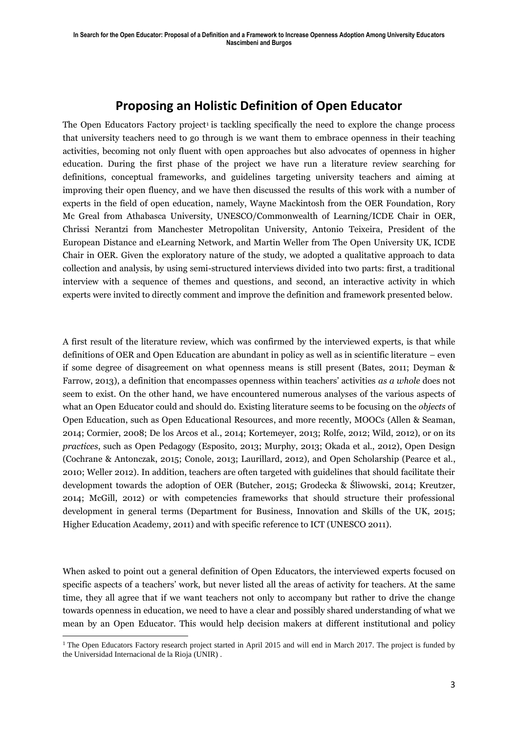## **Proposing an Holistic Definition of Open Educator**

The Open Educators Factory project<sup>1</sup> is tackling specifically the need to explore the change process that university teachers need to go through is we want them to embrace openness in their teaching activities, becoming not only fluent with open approaches but also advocates of openness in higher education. During the first phase of the project we have run a literature review searching for definitions, conceptual frameworks, and guidelines targeting university teachers and aiming at improving their open fluency, and we have then discussed the results of this work with a number of experts in the field of open education, namely, Wayne Mackintosh from the OER Foundation, Rory Mc Greal from Athabasca University, UNESCO/Commonwealth of Learning/ICDE Chair in OER, Chrissi Nerantzi from Manchester Metropolitan University, Antonio Teixeira, President of the European Distance and eLearning Network, and Martin Weller from The Open University UK, ICDE Chair in OER. Given the exploratory nature of the study, we adopted a qualitative approach to data collection and analysis, by using semi-structured interviews divided into two parts: first, a traditional interview with a sequence of themes and questions, and second, an interactive activity in which experts were invited to directly comment and improve the definition and framework presented below.

A first result of the literature review, which was confirmed by the interviewed experts, is that while definitions of OER and Open Education are abundant in policy as well as in scientific literature – even if some degree of disagreement on what openness means is still present (Bates, 2011; Deyman & Farrow, 2013), a definition that encompasses openness within teachers' activities *as a whole* does not seem to exist. On the other hand, we have encountered numerous analyses of the various aspects of what an Open Educator could and should do. Existing literature seems to be focusing on the *objects* of Open Education, such as Open Educational Resources, and more recently, MOOCs (Allen & Seaman, 2014; Cormier, 2008; De los Arcos et al., 2014; Kortemeyer, 2013; Rolfe, 2012; Wild, 2012), or on its *practices*, such as Open Pedagogy (Esposito, 2013; Murphy, 2013; Okada et al., 2012), Open Design (Cochrane & Antonczak, 2015; Conole, 2013; Laurillard, 2012), and Open Scholarship (Pearce et al., 2010; Weller 2012). In addition, teachers are often targeted with guidelines that should facilitate their development towards the adoption of OER (Butcher, 2015; Grodecka & Śliwowski, 2014; Kreutzer, 2014; McGill, 2012) or with competencies frameworks that should structure their professional development in general terms (Department for Business, Innovation and Skills of the UK, 2015; Higher Education Academy, 2011) and with specific reference to ICT (UNESCO 2011).

When asked to point out a general definition of Open Educators, the interviewed experts focused on specific aspects of a teachers' work, but never listed all the areas of activity for teachers. At the same time, they all agree that if we want teachers not only to accompany but rather to drive the change towards openness in education, we need to have a clear and possibly shared understanding of what we mean by an Open Educator. This would help decision makers at different institutional and policy

 $\overline{a}$ <sup>1</sup> The Open Educators Factory research project started in April 2015 and will end in March 2017. The project is funded by the Universidad Internacional de la Rioja (UNIR) .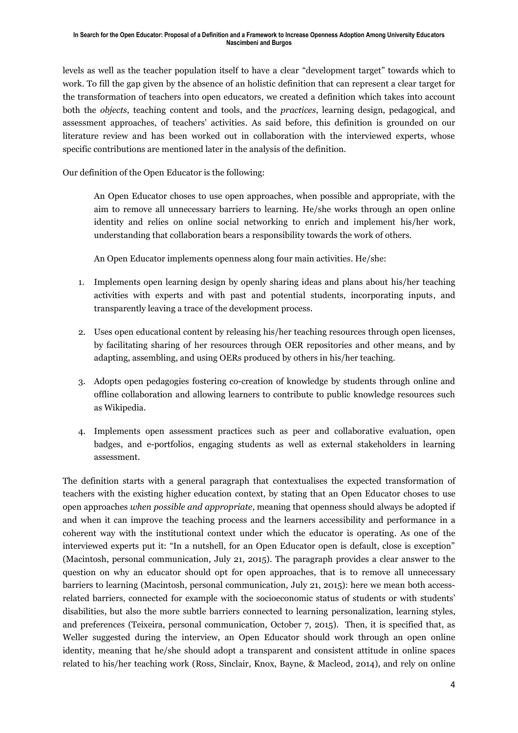levels as well as the teacher population itself to have a clear "development target" towards which to work. To fill the gap given by the absence of an holistic definition that can represent a clear target for the transformation of teachers into open educators, we created a definition which takes into account both the *objects*, teaching content and tools, and the *practices*, learning design, pedagogical, and assessment approaches, of teachers' activities. As said before, this definition is grounded on our literature review and has been worked out in collaboration with the interviewed experts, whose specific contributions are mentioned later in the analysis of the definition.

Our definition of the Open Educator is the following:

An Open Educator choses to use open approaches, when possible and appropriate, with the aim to remove all unnecessary barriers to learning. He/she works through an open online identity and relies on online social networking to enrich and implement his/her work, understanding that collaboration bears a responsibility towards the work of others.

An Open Educator implements openness along four main activities. He/she:

- 1. Implements open learning design by openly sharing ideas and plans about his/her teaching activities with experts and with past and potential students, incorporating inputs, and transparently leaving a trace of the development process.
- 2. Uses open educational content by releasing his/her teaching resources through open licenses, by facilitating sharing of her resources through OER repositories and other means, and by adapting, assembling, and using OERs produced by others in his/her teaching.
- 3. Adopts open pedagogies fostering co-creation of knowledge by students through online and offline collaboration and allowing learners to contribute to public knowledge resources such as Wikipedia.
- 4. Implements open assessment practices such as peer and collaborative evaluation, open badges, and e-portfolios, engaging students as well as external stakeholders in learning assessment.

The definition starts with a general paragraph that contextualises the expected transformation of teachers with the existing higher education context, by stating that an Open Educator choses to use open approaches *when possible and appropriate*, meaning that openness should always be adopted if and when it can improve the teaching process and the learners accessibility and performance in a coherent way with the institutional context under which the educator is operating. As one of the interviewed experts put it: "In a nutshell, for an Open Educator open is default, close is exception" (Macintosh, personal communication, July 21, 2015). The paragraph provides a clear answer to the question on why an educator should opt for open approaches, that is to remove all unnecessary barriers to learning (Macintosh, personal communication, July 21, 2015): here we mean both accessrelated barriers, connected for example with the socioeconomic status of students or with students' disabilities, but also the more subtle barriers connected to learning personalization, learning styles, and preferences (Teixeira, personal communication, October 7, 2015). Then, it is specified that, as Weller suggested during the interview, an Open Educator should work through an open online identity, meaning that he/she should adopt a transparent and consistent attitude in online spaces related to his/her teaching work (Ross, Sinclair, Knox, Bayne, & Macleod, 2014), and rely on online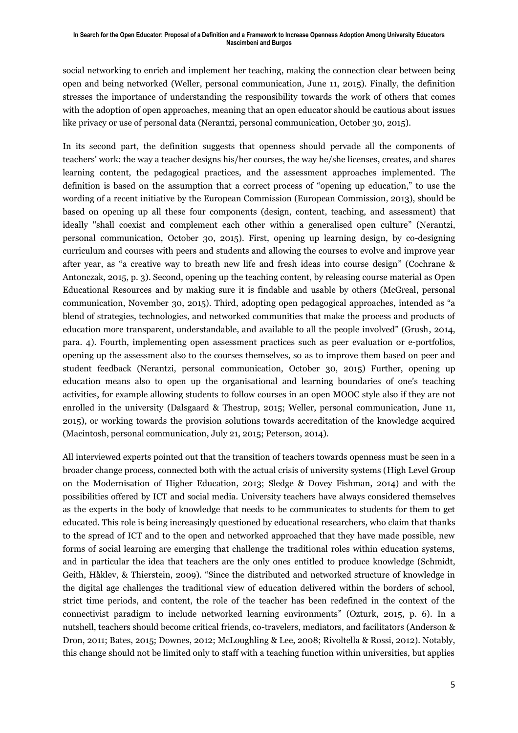#### **In Search for the Open Educator: Proposal of a Definition and a Framework to Increase Openness Adoption Among University Educators Nascimbeni and Burgos**

social networking to enrich and implement her teaching, making the connection clear between being open and being networked (Weller, personal communication, June 11, 2015). Finally, the definition stresses the importance of understanding the responsibility towards the work of others that comes with the adoption of open approaches, meaning that an open educator should be cautious about issues like privacy or use of personal data (Nerantzi, personal communication, October 30, 2015).

In its second part, the definition suggests that openness should pervade all the components of teachers' work: the way a teacher designs his/her courses, the way he/she licenses, creates, and shares learning content, the pedagogical practices, and the assessment approaches implemented. The definition is based on the assumption that a correct process of "opening up education," to use the wording of a recent initiative by the European Commission (European Commission, 2013), should be based on opening up all these four components (design, content, teaching, and assessment) that ideally "shall coexist and complement each other within a generalised open culture" (Nerantzi, personal communication, October 30, 2015). First, opening up learning design, by co-designing curriculum and courses with peers and students and allowing the courses to evolve and improve year after year, as "a creative way to breath new life and fresh ideas into course design" (Cochrane & Antonczak, 2015, p. 3). Second, opening up the teaching content, by releasing course material as Open Educational Resources and by making sure it is findable and usable by others (McGreal, personal communication, November 30, 2015). Third, adopting open pedagogical approaches, intended as "a blend of strategies, technologies, and networked communities that make the process and products of education more transparent, understandable, and available to all the people involved" (Grush, 2014, para. 4). Fourth, implementing open assessment practices such as peer evaluation or e-portfolios, opening up the assessment also to the courses themselves, so as to improve them based on peer and student feedback (Nerantzi, personal communication, October 30, 2015) Further, opening up education means also to open up the organisational and learning boundaries of one's teaching activities, for example allowing students to follow courses in an open MOOC style also if they are not enrolled in the university (Dalsgaard & Thestrup, 2015; Weller, personal communication, June 11, 2015), or working towards the provision solutions towards accreditation of the knowledge acquired (Macintosh, personal communication, July 21, 2015; Peterson, 2014).

All interviewed experts pointed out that the transition of teachers towards openness must be seen in a broader change process, connected both with the actual crisis of university systems (High Level Group on the Modernisation of Higher Education, 2013; Sledge & Dovey Fishman, 2014) and with the possibilities offered by ICT and social media. University teachers have always considered themselves as the experts in the body of knowledge that needs to be communicates to students for them to get educated. This role is being increasingly questioned by educational researchers, who claim that thanks to the spread of ICT and to the open and networked approached that they have made possible, new forms of social learning are emerging that challenge the traditional roles within education systems, and in particular the idea that teachers are the only ones entitled to produce knowledge (Schmidt, Geith, Håklev, & Thierstein, 2009). "Since the distributed and networked structure of knowledge in the digital age challenges the traditional view of education delivered within the borders of school, strict time periods, and content, the role of the teacher has been redefined in the context of the connectivist paradigm to include networked learning environments" (Ozturk, 2015, p. 6). In a nutshell, teachers should become critical friends, co-travelers, mediators, and facilitators (Anderson & Dron, 2011; Bates, 2015; Downes, 2012; McLoughling & Lee, 2008; Rivoltella & Rossi, 2012). Notably, this change should not be limited only to staff with a teaching function within universities, but applies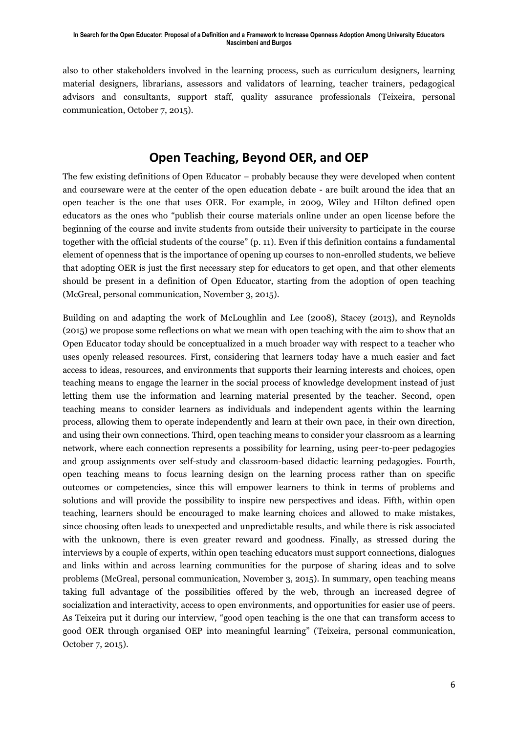also to other stakeholders involved in the learning process, such as curriculum designers, learning material designers, librarians, assessors and validators of learning, teacher trainers, pedagogical advisors and consultants, support staff, quality assurance professionals (Teixeira, personal communication, October 7, 2015).

### **Open Teaching, Beyond OER, and OEP**

The few existing definitions of Open Educator – probably because they were developed when content and courseware were at the center of the open education debate - are built around the idea that an open teacher is the one that uses OER. For example, in 2009, Wiley and Hilton defined open educators as the ones who "publish their course materials online under an open license before the beginning of the course and invite students from outside their university to participate in the course together with the official students of the course" (p. 11). Even if this definition contains a fundamental element of openness that is the importance of opening up courses to non-enrolled students, we believe that adopting OER is just the first necessary step for educators to get open, and that other elements should be present in a definition of Open Educator, starting from the adoption of open teaching (McGreal, personal communication, November 3, 2015).

Building on and adapting the work of McLoughlin and Lee (2008), Stacey (2013), and Reynolds (2015) we propose some reflections on what we mean with open teaching with the aim to show that an Open Educator today should be conceptualized in a much broader way with respect to a teacher who uses openly released resources. First, considering that learners today have a much easier and fact access to ideas, resources, and environments that supports their learning interests and choices, open teaching means to engage the learner in the social process of knowledge development instead of just letting them use the information and learning material presented by the teacher. Second, open teaching means to consider learners as individuals and independent agents within the learning process, allowing them to operate independently and learn at their own pace, in their own direction, and using their own connections. Third, open teaching means to consider your classroom as a learning network, where each connection represents a possibility for learning, using peer-to-peer pedagogies and group assignments over self-study and classroom-based didactic learning pedagogies. Fourth, open teaching means to focus learning design on the learning process rather than on specific outcomes or competencies, since this will empower learners to think in terms of problems and solutions and will provide the possibility to inspire new perspectives and ideas. Fifth, within open teaching, learners should be encouraged to make learning choices and allowed to make mistakes, since choosing often leads to unexpected and unpredictable results, and while there is risk associated with the unknown, there is even greater reward and goodness. Finally, as stressed during the interviews by a couple of experts, within open teaching educators must support connections, dialogues and links within and across learning communities for the purpose of sharing ideas and to solve problems (McGreal, personal communication, November 3, 2015). In summary, open teaching means taking full advantage of the possibilities offered by the web, through an increased degree of socialization and interactivity, access to open environments, and opportunities for easier use of peers. As Teixeira put it during our interview, "good open teaching is the one that can transform access to good OER through organised OEP into meaningful learning" (Teixeira, personal communication, October 7, 2015).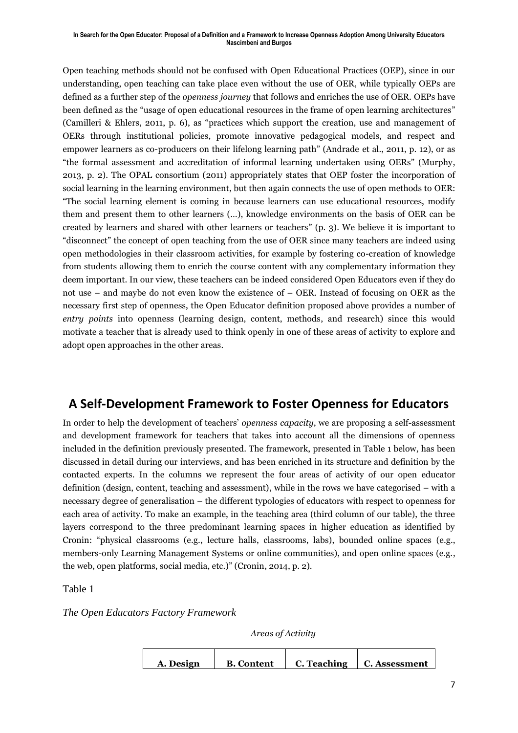#### **In Search for the Open Educator: Proposal of a Definition and a Framework to Increase Openness Adoption Among University Educators Nascimbeni and Burgos**

Open teaching methods should not be confused with Open Educational Practices (OEP), since in our understanding, open teaching can take place even without the use of OER, while typically OEPs are defined as a further step of the *openness journey* that follows and enriches the use of OER. OEPs have been defined as the "usage of open educational resources in the frame of open learning architectures" (Camilleri & Ehlers, 2011, p. 6), as "practices which support the creation, use and management of OERs through institutional policies, promote innovative pedagogical models, and respect and empower learners as co-producers on their lifelong learning path" (Andrade et al., 2011, p. 12), or as "the formal assessment and accreditation of informal learning undertaken using OERs" (Murphy, 2013, p. 2). The OPAL consortium (2011) appropriately states that OEP foster the incorporation of social learning in the learning environment, but then again connects the use of open methods to OER: "The social learning element is coming in because learners can use educational resources, modify them and present them to other learners (…), knowledge environments on the basis of OER can be created by learners and shared with other learners or teachers" (p. 3). We believe it is important to "disconnect" the concept of open teaching from the use of OER since many teachers are indeed using open methodologies in their classroom activities, for example by fostering co-creation of knowledge from students allowing them to enrich the course content with any complementary information they deem important. In our view, these teachers can be indeed considered Open Educators even if they do not use – and maybe do not even know the existence of – OER. Instead of focusing on OER as the necessary first step of openness, the Open Educator definition proposed above provides a number of *entry points* into openness (learning design, content, methods, and research) since this would motivate a teacher that is already used to think openly in one of these areas of activity to explore and adopt open approaches in the other areas.

#### **A Self-Development Framework to Foster Openness for Educators**

In order to help the development of teachers' *openness capacity*, we are proposing a self-assessment and development framework for teachers that takes into account all the dimensions of openness included in the definition previously presented. The framework, presented in Table 1 below, has been discussed in detail during our interviews, and has been enriched in its structure and definition by the contacted experts. In the columns we represent the four areas of activity of our open educator definition (design, content, teaching and assessment), while in the rows we have categorised – with a necessary degree of generalisation – the different typologies of educators with respect to openness for each area of activity. To make an example, in the teaching area (third column of our table), the three layers correspond to the three predominant learning spaces in higher education as identified by Cronin: "physical classrooms (e.g., lecture halls, classrooms, labs), bounded online spaces (e.g., members-only Learning Management Systems or online communities), and open online spaces (e.g., the web, open platforms, social media, etc.)" (Cronin, 2014, p. 2).

Table 1

#### *The Open Educators Factory Framework*

*Areas of Activity*

| A. Design | <b>B.</b> Content | C. Teaching | <b>C. Assessment</b> |
|-----------|-------------------|-------------|----------------------|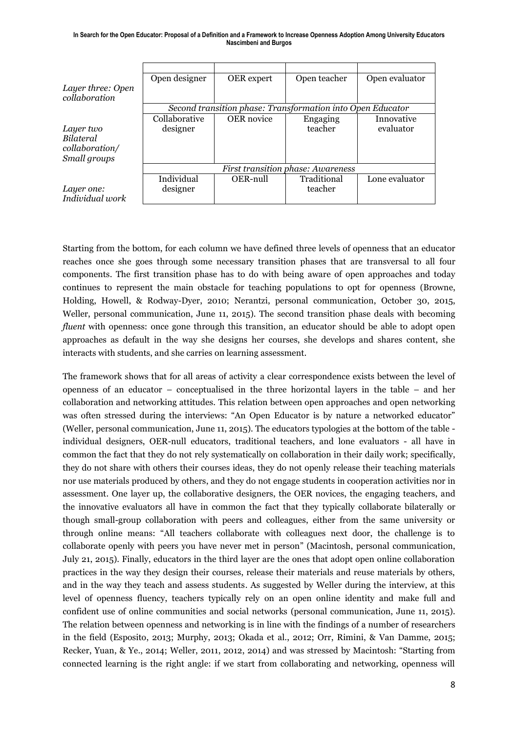|                   | Open designer                                              | OER expert        | Open teacher | Open evaluator |  |
|-------------------|------------------------------------------------------------|-------------------|--------------|----------------|--|
| Layer three: Open |                                                            |                   |              |                |  |
| collaboration     |                                                            |                   |              |                |  |
|                   | Second transition phase: Transformation into Open Educator |                   |              |                |  |
|                   | Collaborative                                              | <b>OER</b> novice | Engaging     | Innovative     |  |
| Layer two         | designer                                                   |                   | teacher      | evaluator      |  |
| <b>Bilateral</b>  |                                                            |                   |              |                |  |
| collaboration/    |                                                            |                   |              |                |  |
| Small groups      |                                                            |                   |              |                |  |
|                   | <b>First transition phase: Awareness</b>                   |                   |              |                |  |
|                   | Individual                                                 | OER-null          | Traditional  | Lone evaluator |  |
| Layer one:        | designer                                                   |                   | teacher      |                |  |
| Individual work   |                                                            |                   |              |                |  |

Starting from the bottom, for each column we have defined three levels of openness that an educator reaches once she goes through some necessary transition phases that are transversal to all four components. The first transition phase has to do with being aware of open approaches and today continues to represent the main obstacle for teaching populations to opt for openness (Browne, Holding, Howell, & Rodway-Dyer, 2010; Nerantzi, personal communication, October 30, 2015, Weller, personal communication, June 11, 2015). The second transition phase deals with becoming *fluent* with openness: once gone through this transition, an educator should be able to adopt open approaches as default in the way she designs her courses, she develops and shares content, she interacts with students, and she carries on learning assessment.

The framework shows that for all areas of activity a clear correspondence exists between the level of openness of an educator – conceptualised in the three horizontal layers in the table – and her collaboration and networking attitudes. This relation between open approaches and open networking was often stressed during the interviews: "An Open Educator is by nature a networked educator" (Weller, personal communication, June 11, 2015). The educators typologies at the bottom of the table individual designers, OER-null educators, traditional teachers, and lone evaluators - all have in common the fact that they do not rely systematically on collaboration in their daily work; specifically, they do not share with others their courses ideas, they do not openly release their teaching materials nor use materials produced by others, and they do not engage students in cooperation activities nor in assessment. One layer up, the collaborative designers, the OER novices, the engaging teachers, and the innovative evaluators all have in common the fact that they typically collaborate bilaterally or though small-group collaboration with peers and colleagues, either from the same university or through online means: "All teachers collaborate with colleagues next door, the challenge is to collaborate openly with peers you have never met in person" (Macintosh, personal communication, July 21, 2015). Finally, educators in the third layer are the ones that adopt open online collaboration practices in the way they design their courses, release their materials and reuse materials by others, and in the way they teach and assess students. As suggested by Weller during the interview, at this level of openness fluency, teachers typically rely on an open online identity and make full and confident use of online communities and social networks (personal communication, June 11, 2015). The relation between openness and networking is in line with the findings of a number of researchers in the field (Esposito, 2013; Murphy, 2013; Okada et al., 2012; Orr, Rimini, & Van Damme, 2015; Recker, Yuan, & Ye., 2014; Weller, 2011, 2012, 2014) and was stressed by Macintosh: "Starting from connected learning is the right angle: if we start from collaborating and networking, openness will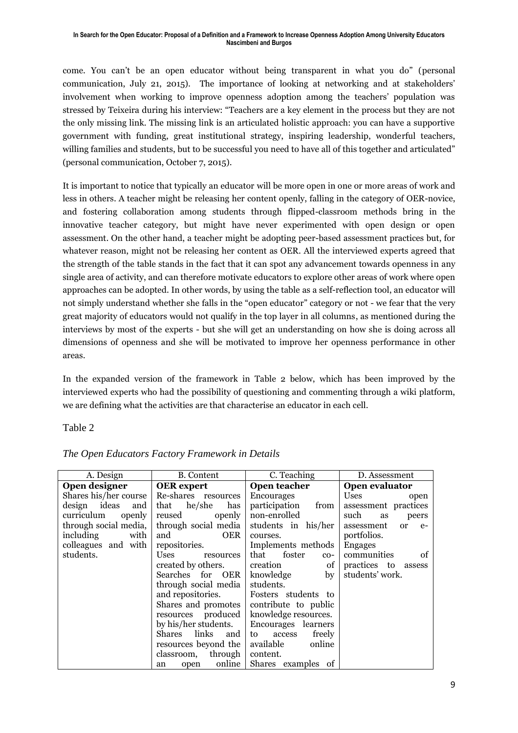come. You can't be an open educator without being transparent in what you do" (personal communication, July 21, 2015). The importance of looking at networking and at stakeholders' involvement when working to improve openness adoption among the teachers' population was stressed by Teixeira during his interview: "Teachers are a key element in the process but they are not the only missing link. The missing link is an articulated holistic approach: you can have a supportive government with funding, great institutional strategy, inspiring leadership, wonderful teachers, willing families and students, but to be successful you need to have all of this together and articulated" (personal communication, October 7, 2015).

It is important to notice that typically an educator will be more open in one or more areas of work and less in others. A teacher might be releasing her content openly, falling in the category of OER-novice, and fostering collaboration among students through flipped-classroom methods bring in the innovative teacher category, but might have never experimented with open design or open assessment. On the other hand, a teacher might be adopting peer-based assessment practices but, for whatever reason, might not be releasing her content as OER. All the interviewed experts agreed that the strength of the table stands in the fact that it can spot any advancement towards openness in any single area of activity, and can therefore motivate educators to explore other areas of work where open approaches can be adopted. In other words, by using the table as a self-reflection tool, an educator will not simply understand whether she falls in the "open educator" category or not - we fear that the very great majority of educators would not qualify in the top layer in all columns, as mentioned during the interviews by most of the experts - but she will get an understanding on how she is doing across all dimensions of openness and she will be motivated to improve her openness performance in other areas.

In the expanded version of the framework in Table 2 below, which has been improved by the interviewed experts who had the possibility of questioning and commenting through a wiki platform, we are defining what the activities are that characterise an educator in each cell.

Table 2

| A. Design             | B. Content               | C. Teaching                    | D. Assessment                       |
|-----------------------|--------------------------|--------------------------------|-------------------------------------|
| Open designer         | <b>OER</b> expert        |                                | Open evaluator                      |
| Shares his/her course | Re-shares resources      | <b>Encourages</b>              | Uses<br>open                        |
| design ideas<br>and   | he/she<br>that<br>has    | participation<br>from          | assessment practices                |
| curriculum<br>openly  | reused<br>openly         | non-enrolled                   | such<br>as<br>peers                 |
| through social media, | through social media     | students in his/her            | assessment<br><sub>or</sub><br>$e-$ |
| including<br>with     | <b>OER</b><br>and        | courses.                       | portfolios.                         |
| colleagues and with   | repositories.            | Implements methods             | <b>Engages</b>                      |
| students.             | <b>Uses</b><br>resources | that foster<br>$_{\rm CO-}$    | communities<br>of                   |
|                       | created by others.       | $\circ$ of $\vert$<br>creation | practices to assess                 |
|                       | Searches for OER         | knowledge<br>by <sub>l</sub>   | students' work.                     |
|                       | through social media     | students.                      |                                     |
|                       | and repositories.        | Fosters students to            |                                     |
|                       | Shares and promotes      | contribute to public           |                                     |
|                       | resources produced       | knowledge resources.           |                                     |
|                       | by his/her students.     | Encourages learners            |                                     |
|                       | Shares links<br>and      | freely<br>to access            |                                     |
|                       | resources beyond the     | available<br>online            |                                     |
|                       | classroom, through       | content.                       |                                     |
|                       | online<br>open<br>an     | Shares examples of             |                                     |

*The Open Educators Factory Framework in Details*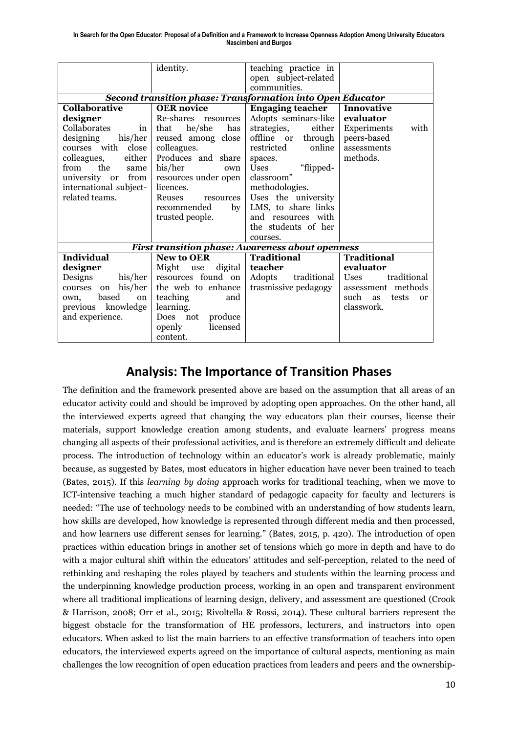|                                                                   | identity.                   | teaching practice in                                    |                                 |  |  |  |  |
|-------------------------------------------------------------------|-----------------------------|---------------------------------------------------------|---------------------------------|--|--|--|--|
|                                                                   |                             | open subject-related                                    |                                 |  |  |  |  |
|                                                                   |                             | communities.                                            |                                 |  |  |  |  |
| <b>Second transition phase: Transformation into Open Educator</b> |                             |                                                         |                                 |  |  |  |  |
| <b>Collaborative</b>                                              | <b>OER</b> novice           | <b>Engaging teacher</b>                                 | Innovative                      |  |  |  |  |
| designer                                                          | Re-shares resources         | Adopts seminars-like                                    | evaluator                       |  |  |  |  |
| Collaborates<br>in                                                | that<br>he/she<br>has       | strategies,<br>either                                   | Experiments<br>with             |  |  |  |  |
| designing<br>his/her                                              | reused among close          | offline or<br>through                                   | peers-based                     |  |  |  |  |
| courses with close                                                | colleagues.                 | restricted<br>online                                    | assessments                     |  |  |  |  |
| either<br>colleagues,                                             | Produces and share          | spaces.                                                 | methods.                        |  |  |  |  |
| the<br>from<br>same                                               | his/her<br>own              | "flipped-<br><b>Uses</b>                                |                                 |  |  |  |  |
| university or from                                                | resources under open        | classroom"                                              |                                 |  |  |  |  |
| international subject-                                            | licences.                   | methodologies.                                          |                                 |  |  |  |  |
| related teams.                                                    | Reuses<br>resources         | Uses the university                                     |                                 |  |  |  |  |
|                                                                   | recommended<br>$\mathbf{b}$ | LMS, to share links                                     |                                 |  |  |  |  |
|                                                                   | trusted people.             | and resources with                                      |                                 |  |  |  |  |
|                                                                   |                             | the students of her                                     |                                 |  |  |  |  |
|                                                                   |                             | courses.                                                |                                 |  |  |  |  |
|                                                                   |                             | <b>First transition phase: Awareness about openness</b> |                                 |  |  |  |  |
| <b>Individual</b>                                                 | <b>New to OER</b>           | <b>Traditional</b>                                      | <b>Traditional</b>              |  |  |  |  |
| designer                                                          | Might use<br>digital        | teacher                                                 | evaluator                       |  |  |  |  |
| Designs<br>his/her                                                | resources found on          | Adopts<br>traditional                                   | traditional<br><b>Uses</b>      |  |  |  |  |
| his/her<br>courses<br>on                                          | the web to enhance          | trasmissive pedagogy                                    | assessment methods              |  |  |  |  |
| based<br><sub>on</sub><br>own,                                    | teaching<br>and             |                                                         | such<br>tests<br>as<br>$\alpha$ |  |  |  |  |
| previous knowledge                                                | learning.                   |                                                         | classwork.                      |  |  |  |  |
| and experience.                                                   | Does not<br>produce         |                                                         |                                 |  |  |  |  |
|                                                                   | licensed<br>openly          |                                                         |                                 |  |  |  |  |
|                                                                   | content.                    |                                                         |                                 |  |  |  |  |

### **Analysis: The Importance of Transition Phases**

The definition and the framework presented above are based on the assumption that all areas of an educator activity could and should be improved by adopting open approaches. On the other hand, all the interviewed experts agreed that changing the way educators plan their courses, license their materials, support knowledge creation among students, and evaluate learners' progress means changing all aspects of their professional activities, and is therefore an extremely difficult and delicate process. The introduction of technology within an educator's work is already problematic, mainly because, as suggested by Bates, most educators in higher education have never been trained to teach (Bates, 2015). If this *learning by doing* approach works for traditional teaching, when we move to ICT-intensive teaching a much higher standard of pedagogic capacity for faculty and lecturers is needed: "The use of technology needs to be combined with an understanding of how students learn, how skills are developed, how knowledge is represented through different media and then processed, and how learners use different senses for learning." (Bates, 2015, p. 420). The introduction of open practices within education brings in another set of tensions which go more in depth and have to do with a major cultural shift within the educators' attitudes and self-perception, related to the need of rethinking and reshaping the roles played by teachers and students within the learning process and the underpinning knowledge production process, working in an open and transparent environment where all traditional implications of learning design, delivery, and assessment are questioned (Crook & Harrison, 2008; Orr et al., 2015; Rivoltella & Rossi, 2014). These cultural barriers represent the biggest obstacle for the transformation of HE professors, lecturers, and instructors into open educators. When asked to list the main barriers to an effective transformation of teachers into open educators, the interviewed experts agreed on the importance of cultural aspects, mentioning as main challenges the low recognition of open education practices from leaders and peers and the ownership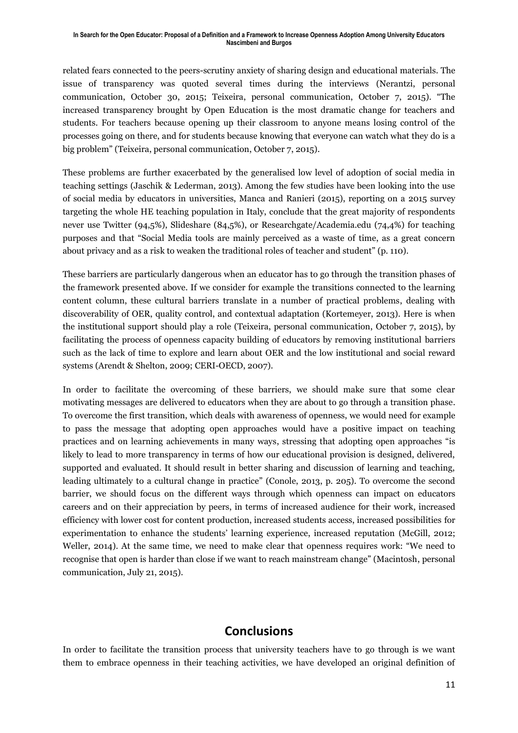related fears connected to the peers-scrutiny anxiety of sharing design and educational materials. The issue of transparency was quoted several times during the interviews (Nerantzi, personal communication, October 30, 2015; Teixeira, personal communication, October 7, 2015). "The increased transparency brought by Open Education is the most dramatic change for teachers and students. For teachers because opening up their classroom to anyone means losing control of the processes going on there, and for students because knowing that everyone can watch what they do is a big problem" (Teixeira, personal communication, October 7, 2015).

These problems are further exacerbated by the generalised low level of adoption of social media in teaching settings (Jaschik & Lederman, 2013). Among the few studies have been looking into the use of social media by educators in universities, Manca and Ranieri (2015), reporting on a 2015 survey targeting the whole HE teaching population in Italy, conclude that the great majority of respondents never use Twitter (94,5%), Slideshare (84,5%), or Researchgate/Academia.edu (74,4%) for teaching purposes and that "Social Media tools are mainly perceived as a waste of time, as a great concern about privacy and as a risk to weaken the traditional roles of teacher and student" (p. 110).

These barriers are particularly dangerous when an educator has to go through the transition phases of the framework presented above. If we consider for example the transitions connected to the learning content column, these cultural barriers translate in a number of practical problems, dealing with discoverability of OER, quality control, and contextual adaptation (Kortemeyer, 2013). Here is when the institutional support should play a role (Teixeira, personal communication, October 7, 2015), by facilitating the process of openness capacity building of educators by removing institutional barriers such as the lack of time to explore and learn about OER and the low institutional and social reward systems (Arendt & Shelton, 2009; CERI-OECD, 2007).

In order to facilitate the overcoming of these barriers, we should make sure that some clear motivating messages are delivered to educators when they are about to go through a transition phase. To overcome the first transition, which deals with awareness of openness, we would need for example to pass the message that adopting open approaches would have a positive impact on teaching practices and on learning achievements in many ways, stressing that adopting open approaches "is likely to lead to more transparency in terms of how our educational provision is designed, delivered, supported and evaluated. It should result in better sharing and discussion of learning and teaching, leading ultimately to a cultural change in practice" (Conole, 2013, p. 205). To overcome the second barrier, we should focus on the different ways through which openness can impact on educators careers and on their appreciation by peers, in terms of increased audience for their work, increased efficiency with lower cost for content production, increased students access, increased possibilities for experimentation to enhance the students' learning experience, increased reputation (McGill, 2012; Weller, 2014). At the same time, we need to make clear that openness requires work: "We need to recognise that open is harder than close if we want to reach mainstream change" (Macintosh, personal communication, July 21, 2015).

#### **Conclusions**

In order to facilitate the transition process that university teachers have to go through is we want them to embrace openness in their teaching activities, we have developed an original definition of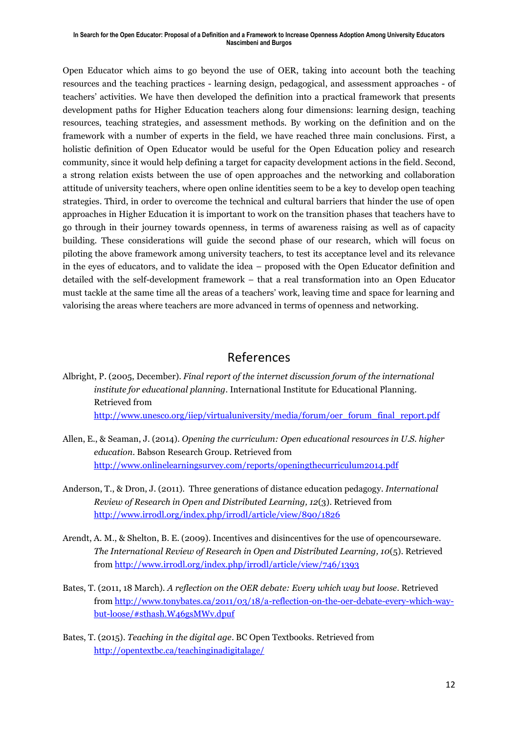Open Educator which aims to go beyond the use of OER, taking into account both the teaching resources and the teaching practices - learning design, pedagogical, and assessment approaches - of teachers' activities. We have then developed the definition into a practical framework that presents development paths for Higher Education teachers along four dimensions: learning design, teaching resources, teaching strategies, and assessment methods. By working on the definition and on the framework with a number of experts in the field, we have reached three main conclusions. First, a holistic definition of Open Educator would be useful for the Open Education policy and research community, since it would help defining a target for capacity development actions in the field. Second, a strong relation exists between the use of open approaches and the networking and collaboration attitude of university teachers, where open online identities seem to be a key to develop open teaching strategies. Third, in order to overcome the technical and cultural barriers that hinder the use of open approaches in Higher Education it is important to work on the transition phases that teachers have to go through in their journey towards openness, in terms of awareness raising as well as of capacity building. These considerations will guide the second phase of our research, which will focus on piloting the above framework among university teachers, to test its acceptance level and its relevance in the eyes of educators, and to validate the idea – proposed with the Open Educator definition and detailed with the self-development framework – that a real transformation into an Open Educator must tackle at the same time all the areas of a teachers' work, leaving time and space for learning and valorising the areas where teachers are more advanced in terms of openness and networking.

### References

- Albright, P. (2005, December). *Final report of the internet discussion forum of the international institute for educational planning.* International Institute for Educational Planning. Retrieved from [http://www.unesco.org/iiep/virtualuniversity/media/forum/oer\\_forum\\_final\\_report.pdf](http://www.unesco.org/iiep/virtualuniversity/media/forum/oer_forum_final_report.pdf)
- Allen, E., & Seaman, J. (2014). *Opening the curriculum: Open educational resources in U.S. higher education*. Babson Research Group. Retrieved from <http://www.onlinelearningsurvey.com/reports/openingthecurriculum2014.pdf>
- Anderson, T., & Dron, J. (2011). Three generations of distance education pedagogy. *International Review of Research in Open and Distributed Learning, 12*(3). Retrieved from <http://www.irrodl.org/index.php/irrodl/article/view/890/1826>
- Arendt, A. M., & Shelton, B. E. (2009). Incentives and disincentives for the use of opencourseware. *The International Review of Research in Open and Distributed Learning, 10*(5). Retrieved from<http://www.irrodl.org/index.php/irrodl/article/view/746/1393>
- Bates, T. (2011, 18 March). *A reflection on the OER debate: Every which way but loose*. Retrieved from [http://www.tonybates.ca/2011/03/18/a-reflection-on-the-oer-debate-every-which-way](http://www.tonybates.ca/2011/03/18/a-reflection-on-the-oer-debate-every-which-way-but-loose/#sthash.W46gsMWv.dpuf)[but-loose/#sthash.W46gsMWv.dpuf](http://www.tonybates.ca/2011/03/18/a-reflection-on-the-oer-debate-every-which-way-but-loose/#sthash.W46gsMWv.dpuf)
- Bates, T. (2015). *Teaching in the digital age*. BC Open Textbooks. Retrieved from <http://opentextbc.ca/teachinginadigitalage/>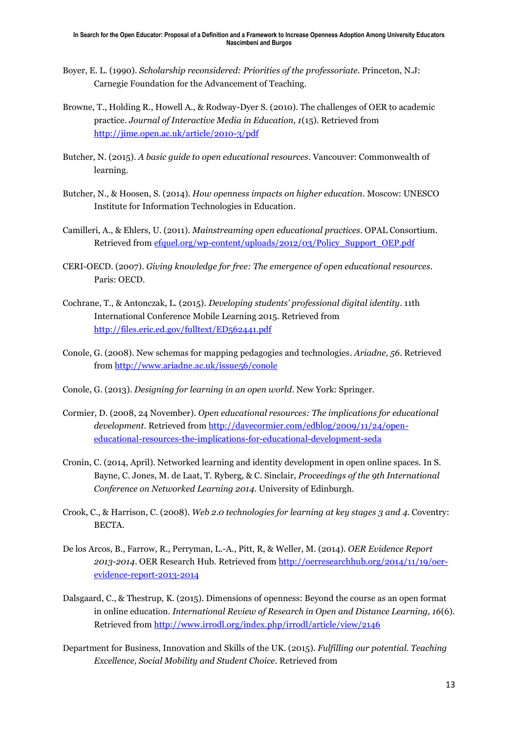- Boyer, E. L. (1990). *Scholarship reconsidered: Priorities of the professoriate*. Princeton, N.J: Carnegie Foundation for the Advancement of Teaching.
- [Browne, T.,](https://oerknowledgecloud.org/oer_resource/author/219) [Holding R.,](https://oerknowledgecloud.org/oer_resource/author/220) [Howell A.,](https://oerknowledgecloud.org/oer_resource/author/221) [& Rodway-Dyer S.](https://oerknowledgecloud.org/oer_resource/author/222) (2010). The challenges of OER to academic practice. *Journal of Interactive Media in Education, 1*(15). Retrieved from <http://jime.open.ac.uk/article/2010-3/pdf>
- Butcher, N. (2015). *A basic guide to open educational resources*. Vancouver: Commonwealth of learning.
- Butcher, N., & Hoosen, S. (2014). *How openness impacts on higher education.* Moscow: UNESCO Institute for Information Technologies in Education.
- Camilleri, A., & Ehlers, U. (2011). *Mainstreaming open educational practices*. OPAL Consortium. Retrieved from [efquel.org/wp-content/uploads/2012/03/Policy\\_Support\\_OEP.pdf](file:///C:/Users/shenderson/AppData/Local/Temp/efquel.org/wp-content/uploads/2012/03/Policy_Support_OEP.pdf)
- CERI-OECD. (2007). *Giving knowledge for free: The emergence of open educational resources*. Paris: OECD.
- Cochrane, T., & Antonczak, L. (2015). *Developing students' professional digital identity*. 11th International Conference Mobile Learning 2015. Retrieved from <http://files.eric.ed.gov/fulltext/ED562441.pdf>
- Conole, G. (2008). New schemas for mapping pedagogies and technologies. *Ariadne, 56*. Retrieved from [http://www.ariadne.ac.uk/issue56/conole](http://www.ariadne.ac.uk/issue56/conole/)
- Conole, G. (2013). *Designing for learning in an open world*. New York: Springer.
- Cormier, D. (2008, 24 November). *Open educational resources: The implications for educational development*. Retrieved from [http://davecormier.com/edblog/2009/11/24/open](http://davecormier.com/edblog/2009/11/24/open-educational-resources-the-implications-for-educational-development-seda)[educational-resources-the-implications-for-educational-development-seda](http://davecormier.com/edblog/2009/11/24/open-educational-resources-the-implications-for-educational-development-seda)
- Cronin, C. (2014, April). Networked learning and identity development in open online spaces. In S. Bayne, C. Jones, M. de Laat, T. Ryberg, & C. Sinclair, *Proceedings of the 9th International Conference on Networked Learning 2014*. University of Edinburgh.
- Crook, C., & Harrison, C. (2008). *Web 2.0 technologies for learning at key stages 3 and 4*. Coventry: BECTA.
- De los Arcos, B., Farrow, R., Perryman, L.-A., Pitt, R, & Weller, M. (2014). *OER Evidence Report 2013-2014*. OER Research Hub. Retrieved from [http://oerresearchhub.org/2014/11/19/oer](http://oerresearchhub.org/2014/11/19/oer-evidence-report-2013-2014)[evidence-report-2013-2014](http://oerresearchhub.org/2014/11/19/oer-evidence-report-2013-2014)
- Dalsgaard, C., & Thestrup, K. (2015). Dimensions of openness: Beyond the course as an open format in online education. *International Review of Research in Open and Distance Learning, 16*(6). Retrieved from<http://www.irrodl.org/index.php/irrodl/article/view/2146>
- Department for Business, Innovation and Skills of the UK. (2015). *Fulfilling our potential. Teaching Excellence, Social Mobility and Student Choice.* Retrieved from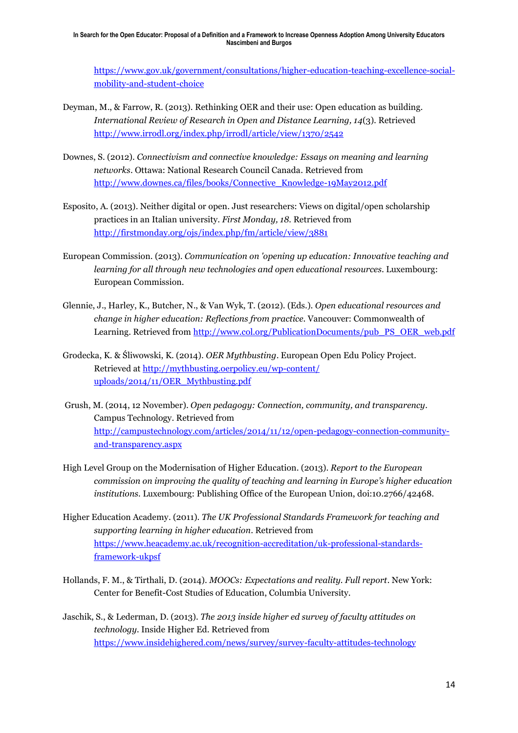[https://www.gov.uk/government/consultations/higher-education-teaching-excellence-social](https://www.gov.uk/government/consultations/higher-education-teaching-excellence-social-mobility-and-student-choice)[mobility-and-student-choice](https://www.gov.uk/government/consultations/higher-education-teaching-excellence-social-mobility-and-student-choice)

- Deyman, M., & Farrow, R. (2013). Rethinking OER and their use: Open education as building*. International Review of Research in Open and Distance Learning, 14*(3). Retrieved <http://www.irrodl.org/index.php/irrodl/article/view/1370/2542>
- Downes, S. (2012). *Connectivism and connective knowledge: Essays on meaning and learning networks*. Ottawa: National Research Council Canada. Retrieved from [http://www.downes.ca/files/books/Connective\\_Knowledge-19May2012.pdf](http://www.downes.ca/files/books/Connective_Knowledge-19May2012.pdf)
- Esposito, A. (2013). Neither digital or open. Just researchers: Views on digital/open scholarship practices in an Italian university. *First Monday, 18.* Retrieved from <http://firstmonday.org/ojs/index.php/fm/article/view/3881>
- European Commission. (2013). *Communication on 'opening up education: Innovative teaching and learning for all through new technologies and open educational resources*. Luxembourg: European Commission.
- Glennie, J., Harley, K., Butcher, N., & Van Wyk, T. (2012). (Eds.). *Open educational resources and change in higher education: Reflections from practice*. Vancouver: Commonwealth of Learning. Retrieved from [http://www.col.org/PublicationDocuments/pub\\_PS\\_OER\\_web.pdf](http://www.col.org/PublicationDocuments/pub_PS_OER_web.pdf)
- Grodecka, K. & Śliwowski, K. (2014). *OER Mythbusting*. European Open Edu Policy Project. Retrieved at [http://mythbusting.oerpolicy.eu/wp-content/](http://mythbusting.oerpolicy.eu/wp-content/%20uploads/2014/11/OER_Mythbusting.pdf)  [uploads/2014/11/OER\\_Mythbusting.pdf](http://mythbusting.oerpolicy.eu/wp-content/%20uploads/2014/11/OER_Mythbusting.pdf)
- Grush, M. (2014, 12 November). *Open pedagogy: Connection, community, and transparency*. Campus Technology. Retrieved from [http://campustechnology.com/articles/2014/11/12/open-pedagogy-connection-community](http://campustechnology.com/articles/2014/11/12/open-pedagogy-connection-community-and-transparency.aspx)[and-transparency.aspx](http://campustechnology.com/articles/2014/11/12/open-pedagogy-connection-community-and-transparency.aspx)
- High Level Group on the Modernisation of Higher Education. (2013). *Report to the European commission on improving the quality of teaching and learning in Europe's higher education institutions.* Luxembourg: Publishing Office of the European Union, doi:10.2766/42468.
- Higher Education Academy. (2011). *The UK Professional Standards Framework for teaching and supporting learning in higher education*. Retrieved from [https://www.heacademy.ac.uk/recognition-accreditation/uk-professional-standards](https://www.heacademy.ac.uk/recognition-accreditation/uk-professional-standards-framework-ukpsf)[framework-ukpsf](https://www.heacademy.ac.uk/recognition-accreditation/uk-professional-standards-framework-ukpsf)
- Hollands, F. M., & Tirthali, D. (2014). *MOOCs: Expectations and reality. Full report*. New York: Center for Benefit-Cost Studies of Education, Columbia University.
- Jaschik, S., & Lederman, D. (2013). *The 2013 inside higher ed survey of faculty attitudes on technology.* Inside Higher Ed. Retrieved from <https://www.insidehighered.com/news/survey/survey-faculty-attitudes-technology>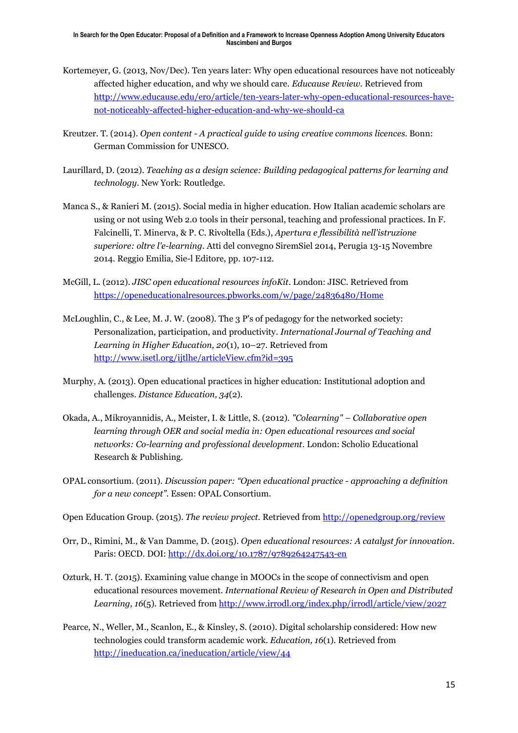- Kortemeyer, G. (2013, Nov/Dec). Ten years later: Why open educational resources have not noticeably affected higher education, and why we should care*. Educause Review*. Retrieved from [http://www.educause.edu/ero/article/ten-years-later-why-open-educational-resources-have](http://www.educause.edu/ero/article/ten-years-later-why-open-educational-resources-have-not-noticeably-affected-higher-education-and-why-we-should-ca)[not-noticeably-affected-higher-education-and-why-we-should-ca](http://www.educause.edu/ero/article/ten-years-later-why-open-educational-resources-have-not-noticeably-affected-higher-education-and-why-we-should-ca)
- Kreutzer. T. (2014). *Open content - A practical guide to using creative commons licences*. Bonn: German Commission for UNESCO.
- Laurillard, D. (2012). *Teaching as a design science: Building pedagogical patterns for learning and technology*. New York: Routledge.
- Manca S., & Ranieri M. (2015). Social media in higher education. How Italian academic scholars are using or not using Web 2.0 tools in their personal, teaching and professional practices. In F. Falcinelli, T. Minerva, & P. C. Rivoltella (Eds.), *Apertura e flessibilità nell'istruzione superiore: oltre l'e-learning.* Atti del convegno SiremSiel 2014, Perugia 13-15 Novembre 2014. Reggio Emilia, Sie-l Editore, pp. 107-112.
- McGill, L. (2012). *JISC open educational resources infoKit*. London: JISC. Retrieved from <https://openeducationalresources.pbworks.com/w/page/24836480/Home>
- McLoughlin, C., & Lee, M. J. W. (2008). The 3 P's of pedagogy for the networked society: Personalization, participation, and productivity*. International Journal of Teaching and Learning in Higher Education, 20*(1), 10–27. Retrieved from <http://www.isetl.org/ijtlhe/articleView.cfm?id=395>
- Murphy, A. (2013). Open educational practices in higher education: Institutional adoption and challenges. *Distance Education, 34*(2).
- Okada, A., Mikroyannidis, A., Meister, I. & Little, S. (2012). *"Colearning" – Collaborative open learning through OER and social media in: Open educational resources and social networks: Co-learning and professional development.* London: Scholio Educational Research & Publishing.
- OPAL consortium. (2011). *Discussion paper: "Open educational practice - approaching a definition for a new concept"*. Essen: OPAL Consortium.
- Open Education Group. (2015). *The review project.* Retrieved from <http://openedgroup.org/review>
- Orr, D., Rimini, M., & Van Damme, D. (2015). *Open educational resources: A catalyst for innovation*. Paris: OECD. DOI:<http://dx.doi.org/10.1787/9789264247543-en>
- Ozturk, H. T. (2015). Examining value change in MOOCs in the scope of connectivism and open educational resources movement. *International Review of Research in Open and Distributed Learning, 16*(5). Retrieved fro[m http://www.irrodl.org/index.php/irrodl/article/view/2027](http://www.irrodl.org/index.php/irrodl/article/view/2027)
- Pearce, N., Weller, M., Scanlon, E., & Kinsley, S. (2010). Digital scholarship considered: How new technologies could transform academic work. *Education, 16*(1). Retrieved from <http://ineducation.ca/ineducation/article/view/44>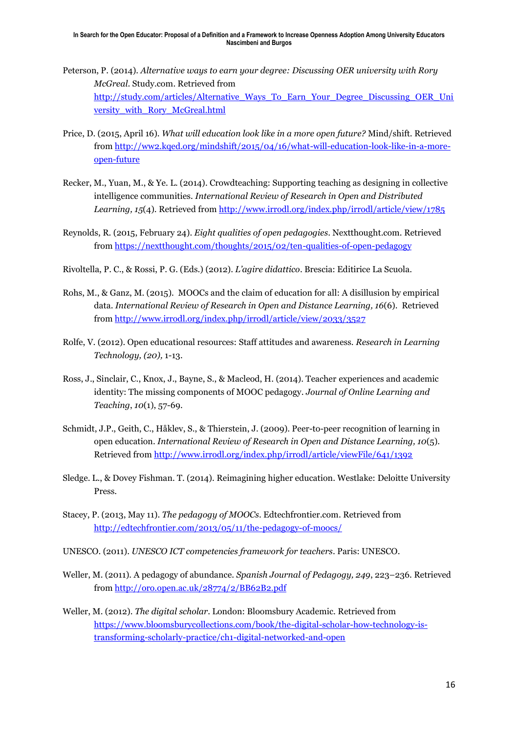- Peterson, P. (2014). *Alternative ways to earn your degree: Discussing OER university with Rory McGreal*. Study.com. Retrieved from [http://study.com/articles/Alternative\\_Ways\\_To\\_Earn\\_Your\\_Degree\\_Discussing\\_OER\\_Uni](http://study.com/articles/Alternative_Ways_To_Earn_Your_Degree_Discussing_OER_University_with_Rory_McGreal.html) [versity\\_with\\_Rory\\_McGreal.html](http://study.com/articles/Alternative_Ways_To_Earn_Your_Degree_Discussing_OER_University_with_Rory_McGreal.html)
- Price, D. (2015, April 16). *What will education look like in a more open future?* Mind/shift. Retrieved from [http://ww2.kqed.org/mindshift/2015/04/16/what-will-education-look-like-in-a-more](http://ww2.kqed.org/mindshift/2015/04/16/what-will-education-look-like-in-a-more-open-future/)[open-future](http://ww2.kqed.org/mindshift/2015/04/16/what-will-education-look-like-in-a-more-open-future/)
- Recker, M., Yuan, M., & Ye. L. (2014). Crowdteaching: Supporting teaching as designing in collective intelligence communities. *International Review of Research in Open and Distributed Learning, 15*(4). Retrieved fro[m http://www.irrodl.org/index.php/irrodl/article/view/1785](http://www.irrodl.org/index.php/irrodl/article/view/1785)
- Reynolds, R. (2015, February 24). *Eight qualities of open pedagogies*. Nextthought.com. Retrieved from <https://nextthought.com/thoughts/2015/02/ten-qualities-of-open-pedagogy>
- Rivoltella, P. C., & Rossi, P. G. (Eds.) (2012). *L'agire didattico*. Brescia: Editirice La Scuola.
- Rohs, M., & Ganz, M. (2015). MOOCs and the claim of education for all: A disillusion by empirical data. *International Review of Research in Open and Distance Learning, 16*(6). Retrieved from<http://www.irrodl.org/index.php/irrodl/article/view/2033/3527>
- Rolfe, V. (2012). Open educational resources: Staff attitudes and awareness. *Research in Learning Technology, (20),* 1-13.
- Ross, J., Sinclair, C., Knox, J., Bayne, S., & Macleod, H. (2014). Teacher experiences and academic identity: The missing components of MOOC pedagogy. *Journal of Online Learning and Teaching*, *10*(1), 57-69.
- Schmidt, J.P., Geith, C., Håklev, S., & Thierstein, J. (2009). Peer-to-peer recognition of learning in open education. *International Review of Research in Open and Distance Learning, 10*(5). Retrieved from<http://www.irrodl.org/index.php/irrodl/article/viewFile/641/1392>
- Sledge. L., & Dovey Fishman. T. (2014). Reimagining higher education. Westlake: Deloitte University Press.
- Stacey, P. (2013, May 11). *The pedagogy of MOOCs*. Edtechfrontier.com. Retrieved from <http://edtechfrontier.com/2013/05/11/the-pedagogy-of-moocs/>
- UNESCO. (2011). *UNESCO ICT competencies framework for teachers*. Paris: UNESCO.
- Weller, M. (2011). A pedagogy of abundance. *Spanish Journal of Pedagogy, 249*, 223–236. Retrieved from <http://oro.open.ac.uk/28774/2/BB62B2.pdf>
- Weller, M. (2012). *The digital scholar*. London: Bloomsbury Academic. Retrieved from [https://www.bloomsburycollections.com/book/the-digital-scholar-how-technology-is](https://www.bloomsburycollections.com/book/the-digital-scholar-how-technology-is-transforming-scholarly-practice/ch1-digital-networked-and-open)[transforming-scholarly-practice/ch1-digital-networked-and-open](https://www.bloomsburycollections.com/book/the-digital-scholar-how-technology-is-transforming-scholarly-practice/ch1-digital-networked-and-open)